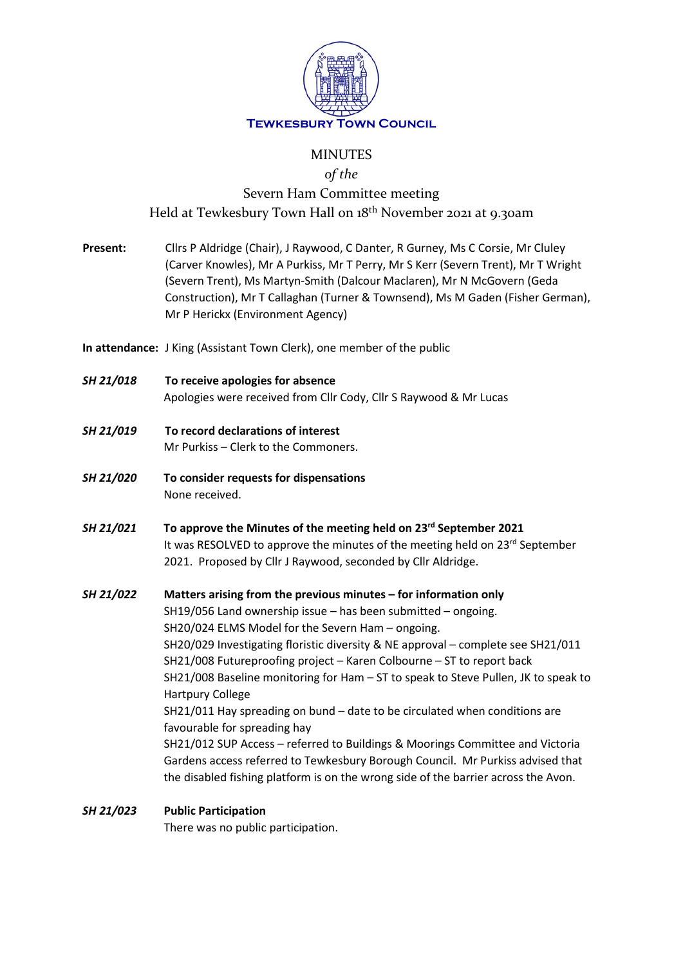

# MINUTES

*of the*

# Severn Ham Committee meeting Held at Tewkesbury Town Hall on 18th November 2021 at 9.30am

- **Present:** Cllrs P Aldridge (Chair), J Raywood, C Danter, R Gurney, Ms C Corsie, Mr Cluley (Carver Knowles), Mr A Purkiss, Mr T Perry, Mr S Kerr (Severn Trent), Mr T Wright (Severn Trent), Ms Martyn-Smith (Dalcour Maclaren), Mr N McGovern (Geda Construction), Mr T Callaghan (Turner & Townsend), Ms M Gaden (Fisher German), Mr P Herickx (Environment Agency)
- **In attendance:** J King (Assistant Town Clerk), one member of the public
- *SH 21/018* **To receive apologies for absence** Apologies were received from Cllr Cody, Cllr S Raywood & Mr Lucas
- *SH 21/019* **To record declarations of interest** Mr Purkiss – Clerk to the Commoners.
- *SH 21/020* **To consider requests for dispensations** None received.
- *SH 21/021* **To approve the Minutes of the meeting held on 23rd September 2021** It was RESOLVED to approve the minutes of the meeting held on 23<sup>rd</sup> September 2021. Proposed by Cllr J Raywood, seconded by Cllr Aldridge.

*SH 21/022* **Matters arising from the previous minutes – for information only** SH19/056 Land ownership issue – has been submitted – ongoing. SH20/024 ELMS Model for the Severn Ham – ongoing. SH20/029 Investigating floristic diversity & NE approval – complete see SH21/011 SH21/008 Futureproofing project – Karen Colbourne – ST to report back SH21/008 Baseline monitoring for Ham – ST to speak to Steve Pullen, JK to speak to Hartpury College SH21/011 Hay spreading on bund – date to be circulated when conditions are favourable for spreading hay SH21/012 SUP Access – referred to Buildings & Moorings Committee and Victoria Gardens access referred to Tewkesbury Borough Council. Mr Purkiss advised that the disabled fishing platform is on the wrong side of the barrier across the Avon.

## *SH 21/023* **Public Participation**

There was no public participation.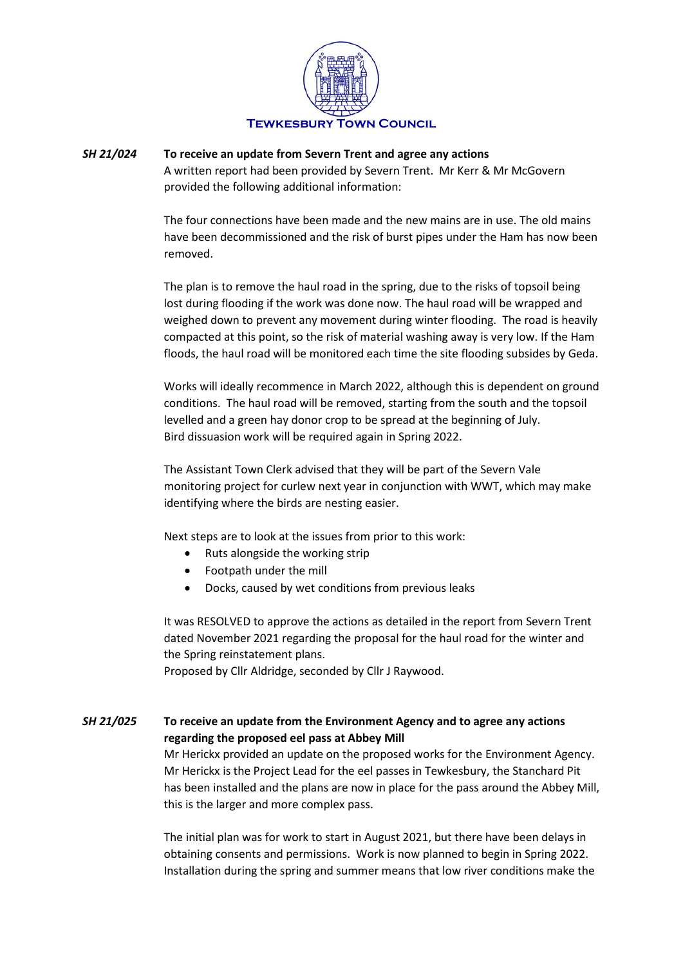

## *SH 21/024* **To receive an update from Severn Trent and agree any actions**

A written report had been provided by Severn Trent. Mr Kerr & Mr McGovern provided the following additional information:

The four connections have been made and the new mains are in use. The old mains have been decommissioned and the risk of burst pipes under the Ham has now been removed.

The plan is to remove the haul road in the spring, due to the risks of topsoil being lost during flooding if the work was done now. The haul road will be wrapped and weighed down to prevent any movement during winter flooding. The road is heavily compacted at this point, so the risk of material washing away is very low. If the Ham floods, the haul road will be monitored each time the site flooding subsides by Geda.

Works will ideally recommence in March 2022, although this is dependent on ground conditions. The haul road will be removed, starting from the south and the topsoil levelled and a green hay donor crop to be spread at the beginning of July. Bird dissuasion work will be required again in Spring 2022.

The Assistant Town Clerk advised that they will be part of the Severn Vale monitoring project for curlew next year in conjunction with WWT, which may make identifying where the birds are nesting easier.

Next steps are to look at the issues from prior to this work:

- Ruts alongside the working strip
- Footpath under the mill
- Docks, caused by wet conditions from previous leaks

It was RESOLVED to approve the actions as detailed in the report from Severn Trent dated November 2021 regarding the proposal for the haul road for the winter and the Spring reinstatement plans.

Proposed by Cllr Aldridge, seconded by Cllr J Raywood.

## *SH 21/025* **To receive an update from the Environment Agency and to agree any actions regarding the proposed eel pass at Abbey Mill**

Mr Herickx provided an update on the proposed works for the Environment Agency. Mr Herickx is the Project Lead for the eel passes in Tewkesbury, the Stanchard Pit has been installed and the plans are now in place for the pass around the Abbey Mill, this is the larger and more complex pass.

The initial plan was for work to start in August 2021, but there have been delays in obtaining consents and permissions. Work is now planned to begin in Spring 2022. Installation during the spring and summer means that low river conditions make the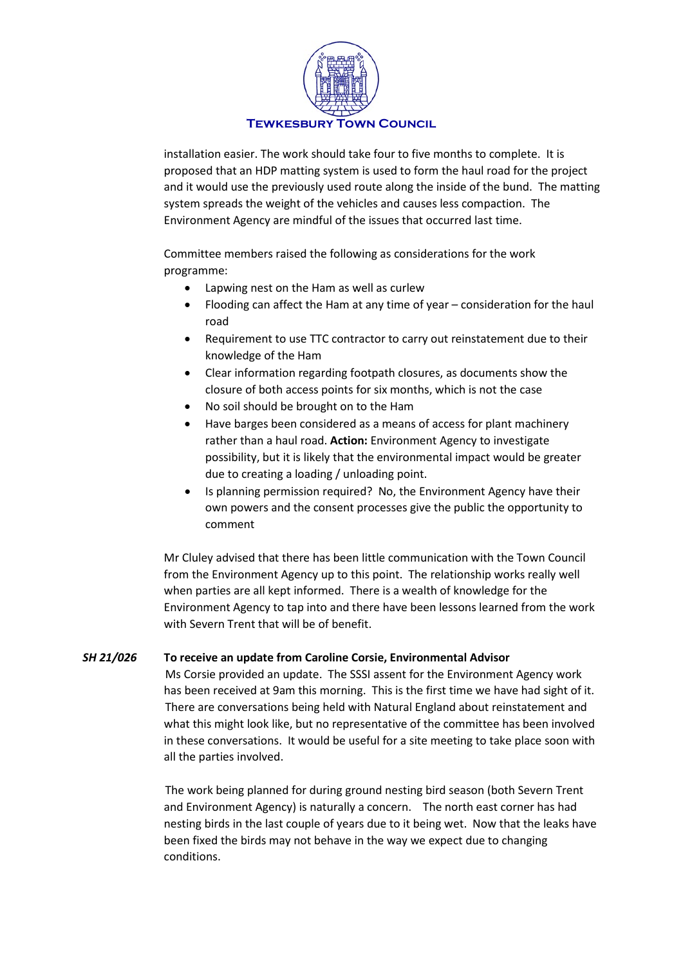

installation easier. The work should take four to five months to complete. It is proposed that an HDP matting system is used to form the haul road for the project and it would use the previously used route along the inside of the bund. The matting system spreads the weight of the vehicles and causes less compaction. The Environment Agency are mindful of the issues that occurred last time.

Committee members raised the following as considerations for the work programme:

- Lapwing nest on the Ham as well as curlew
- Flooding can affect the Ham at any time of year consideration for the haul road
- Requirement to use TTC contractor to carry out reinstatement due to their knowledge of the Ham
- Clear information regarding footpath closures, as documents show the closure of both access points for six months, which is not the case
- No soil should be brought on to the Ham
- Have barges been considered as a means of access for plant machinery rather than a haul road. **Action:** Environment Agency to investigate possibility, but it is likely that the environmental impact would be greater due to creating a loading / unloading point.
- Is planning permission required? No, the Environment Agency have their own powers and the consent processes give the public the opportunity to comment

Mr Cluley advised that there has been little communication with the Town Council from the Environment Agency up to this point. The relationship works really well when parties are all kept informed. There is a wealth of knowledge for the Environment Agency to tap into and there have been lessons learned from the work with Severn Trent that will be of benefit.

## *SH 21/026* **To receive an update from Caroline Corsie, Environmental Advisor**

Ms Corsie provided an update. The SSSI assent for the Environment Agency work has been received at 9am this morning. This is the first time we have had sight of it. There are conversations being held with Natural England about reinstatement and what this might look like, but no representative of the committee has been involved in these conversations. It would be useful for a site meeting to take place soon with all the parties involved.

The work being planned for during ground nesting bird season (both Severn Trent and Environment Agency) is naturally a concern. The north east corner has had nesting birds in the last couple of years due to it being wet. Now that the leaks have been fixed the birds may not behave in the way we expect due to changing conditions.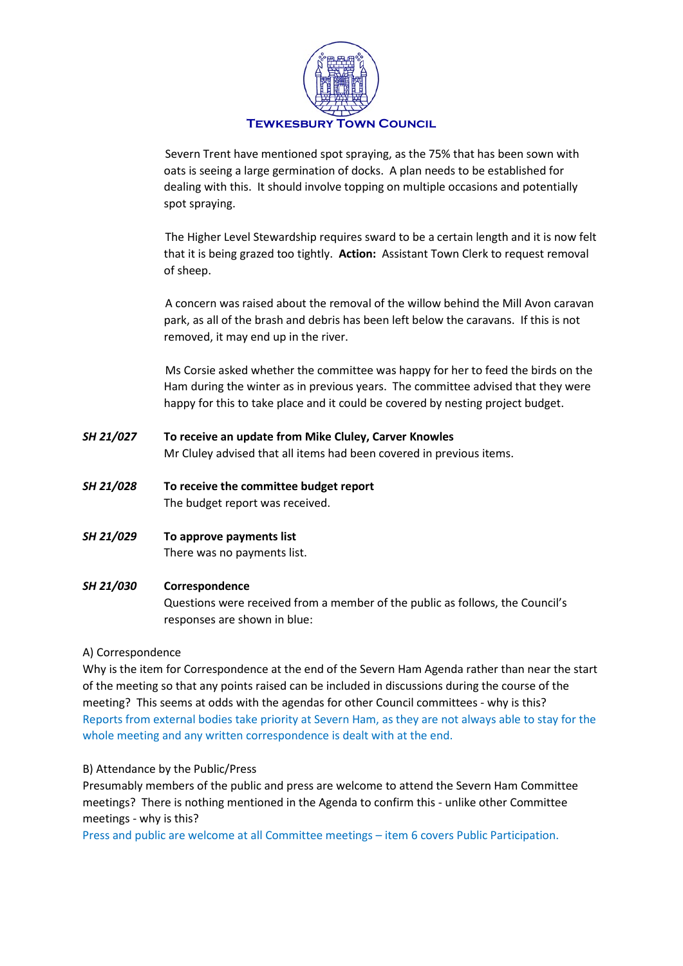

Severn Trent have mentioned spot spraying, as the 75% that has been sown with oats is seeing a large germination of docks. A plan needs to be established for dealing with this. It should involve topping on multiple occasions and potentially spot spraying.

The Higher Level Stewardship requires sward to be a certain length and it is now felt that it is being grazed too tightly. **Action:** Assistant Town Clerk to request removal of sheep.

A concern was raised about the removal of the willow behind the Mill Avon caravan park, as all of the brash and debris has been left below the caravans. If this is not removed, it may end up in the river.

Ms Corsie asked whether the committee was happy for her to feed the birds on the Ham during the winter as in previous years. The committee advised that they were happy for this to take place and it could be covered by nesting project budget.

- *SH 21/027* **To receive an update from Mike Cluley, Carver Knowles** Mr Cluley advised that all items had been covered in previous items.
- *SH 21/028* **To receive the committee budget report** The budget report was received.
- *SH 21/029* **To approve payments list** There was no payments list.

## *SH 21/030* **Correspondence**

Questions were received from a member of the public as follows, the Council's responses are shown in blue:

## A) Correspondence

Why is the item for Correspondence at the end of the Severn Ham Agenda rather than near the start of the meeting so that any points raised can be included in discussions during the course of the meeting? This seems at odds with the agendas for other Council committees - why is this? Reports from external bodies take priority at Severn Ham, as they are not always able to stay for the whole meeting and any written correspondence is dealt with at the end.

## B) Attendance by the Public/Press

Presumably members of the public and press are welcome to attend the Severn Ham Committee meetings? There is nothing mentioned in the Agenda to confirm this - unlike other Committee meetings - why is this?

Press and public are welcome at all Committee meetings – item 6 covers Public Participation.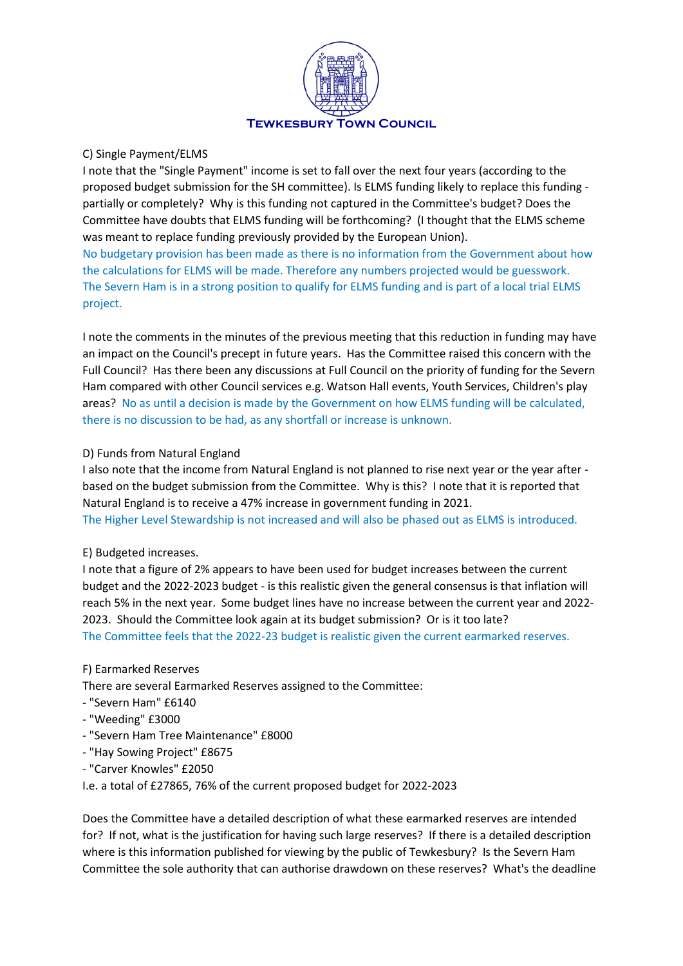

#### C) Single Payment/ELMS

I note that the "Single Payment" income is set to fall over the next four years (according to the proposed budget submission for the SH committee). Is ELMS funding likely to replace this funding partially or completely? Why is this funding not captured in the Committee's budget? Does the Committee have doubts that ELMS funding will be forthcoming? (I thought that the ELMS scheme was meant to replace funding previously provided by the European Union).

No budgetary provision has been made as there is no information from the Government about how the calculations for ELMS will be made. Therefore any numbers projected would be guesswork. The Severn Ham is in a strong position to qualify for ELMS funding and is part of a local trial ELMS project.

I note the comments in the minutes of the previous meeting that this reduction in funding may have an impact on the Council's precept in future years. Has the Committee raised this concern with the Full Council? Has there been any discussions at Full Council on the priority of funding for the Severn Ham compared with other Council services e.g. Watson Hall events, Youth Services, Children's play areas? No as until a decision is made by the Government on how ELMS funding will be calculated, there is no discussion to be had, as any shortfall or increase is unknown.

#### D) Funds from Natural England

I also note that the income from Natural England is not planned to rise next year or the year after based on the budget submission from the Committee. Why is this? I note that it is reported that Natural England is to receive a 47% increase in government funding in 2021. The Higher Level Stewardship is not increased and will also be phased out as ELMS is introduced.

#### E) Budgeted increases.

I note that a figure of 2% appears to have been used for budget increases between the current budget and the 2022-2023 budget - is this realistic given the general consensus is that inflation will reach 5% in the next year. Some budget lines have no increase between the current year and 2022- 2023. Should the Committee look again at its budget submission? Or is it too late? The Committee feels that the 2022-23 budget is realistic given the current earmarked reserves.

#### F) Earmarked Reserves

There are several Earmarked Reserves assigned to the Committee:

- "Severn Ham" £6140
- "Weeding" £3000
- "Severn Ham Tree Maintenance" £8000
- "Hay Sowing Project" £8675
- "Carver Knowles" £2050

I.e. a total of £27865, 76% of the current proposed budget for 2022-2023

Does the Committee have a detailed description of what these earmarked reserves are intended for? If not, what is the justification for having such large reserves? If there is a detailed description where is this information published for viewing by the public of Tewkesbury? Is the Severn Ham Committee the sole authority that can authorise drawdown on these reserves? What's the deadline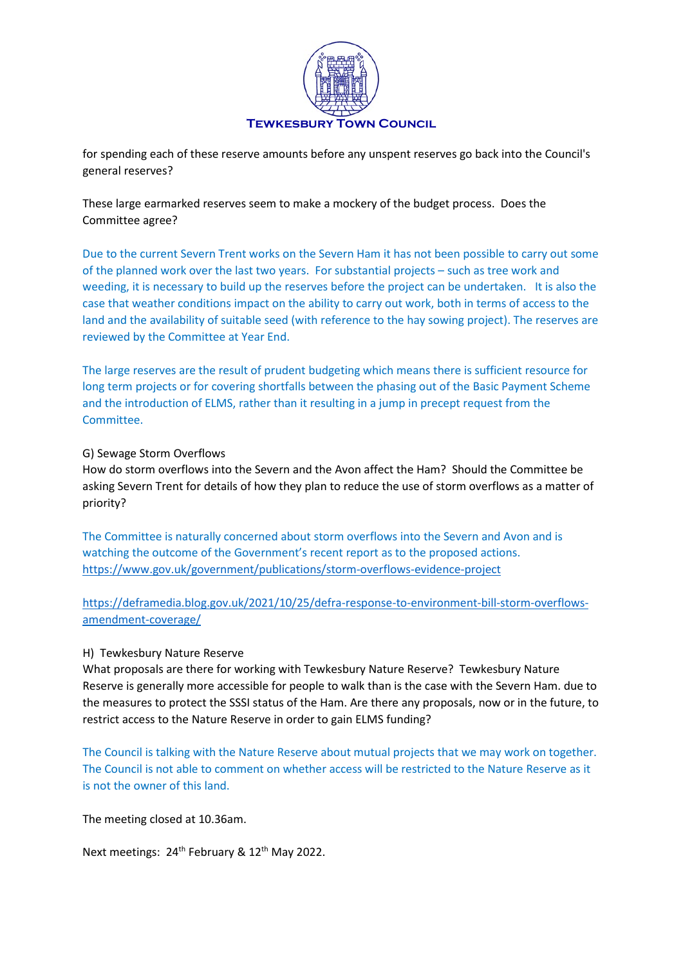

for spending each of these reserve amounts before any unspent reserves go back into the Council's general reserves?

These large earmarked reserves seem to make a mockery of the budget process. Does the Committee agree?

Due to the current Severn Trent works on the Severn Ham it has not been possible to carry out some of the planned work over the last two years. For substantial projects – such as tree work and weeding, it is necessary to build up the reserves before the project can be undertaken. It is also the case that weather conditions impact on the ability to carry out work, both in terms of access to the land and the availability of suitable seed (with reference to the hay sowing project). The reserves are reviewed by the Committee at Year End.

The large reserves are the result of prudent budgeting which means there is sufficient resource for long term projects or for covering shortfalls between the phasing out of the Basic Payment Scheme and the introduction of ELMS, rather than it resulting in a jump in precept request from the Committee.

#### G) Sewage Storm Overflows

How do storm overflows into the Severn and the Avon affect the Ham? Should the Committee be asking Severn Trent for details of how they plan to reduce the use of storm overflows as a matter of priority?

The Committee is naturally concerned about storm overflows into the Severn and Avon and is watching the outcome of the Government's recent report as to the proposed actions. <https://www.gov.uk/government/publications/storm-overflows-evidence-project>

[https://deframedia.blog.gov.uk/2021/10/25/defra-response-to-environment-bill-storm-overflows](https://deframedia.blog.gov.uk/2021/10/25/defra-response-to-environment-bill-storm-overflows-amendment-coverage/)[amendment-coverage/](https://deframedia.blog.gov.uk/2021/10/25/defra-response-to-environment-bill-storm-overflows-amendment-coverage/)

#### H) Tewkesbury Nature Reserve

What proposals are there for working with Tewkesbury Nature Reserve? Tewkesbury Nature Reserve is generally more accessible for people to walk than is the case with the Severn Ham. due to the measures to protect the SSSI status of the Ham. Are there any proposals, now or in the future, to restrict access to the Nature Reserve in order to gain ELMS funding?

The Council is talking with the Nature Reserve about mutual projects that we may work on together. The Council is not able to comment on whether access will be restricted to the Nature Reserve as it is not the owner of this land.

The meeting closed at 10.36am.

Next meetings: 24<sup>th</sup> February & 12<sup>th</sup> May 2022.